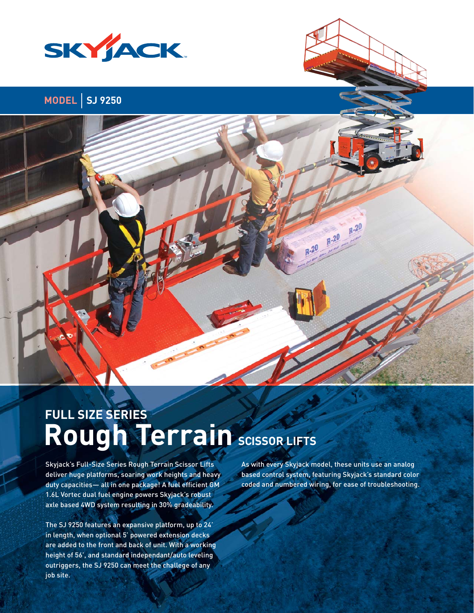

# **MODEL SJ 9250**

# **Rough Terrain SCISSOR LIFTS FULL SIZE SERIES**

Skyjack's Full-Size Series Rough Terrain Scissor Lifts deliver huge platforms, soaring work heights and heavy duty capacities- all in one package! A fuel efficient GM 1.6L Vortec dual fuel engine powers Skyjack's robust axle based 4WD system resulting in 30% gradeability.

The SJ 9250 features an expansive platform, up to 24' in length, when optional 5' powered extension decks are added to the front and back of unit. With a working height of 56', and standard independant/auto leveling outriggers, the SJ 9250 can meet the challege of any job site.

As with every Skyjack model, these units use an analog based control system, featuring Skyjack's standard color coded and numbered wiring, for ease of troubleshooting.

 $R-20$